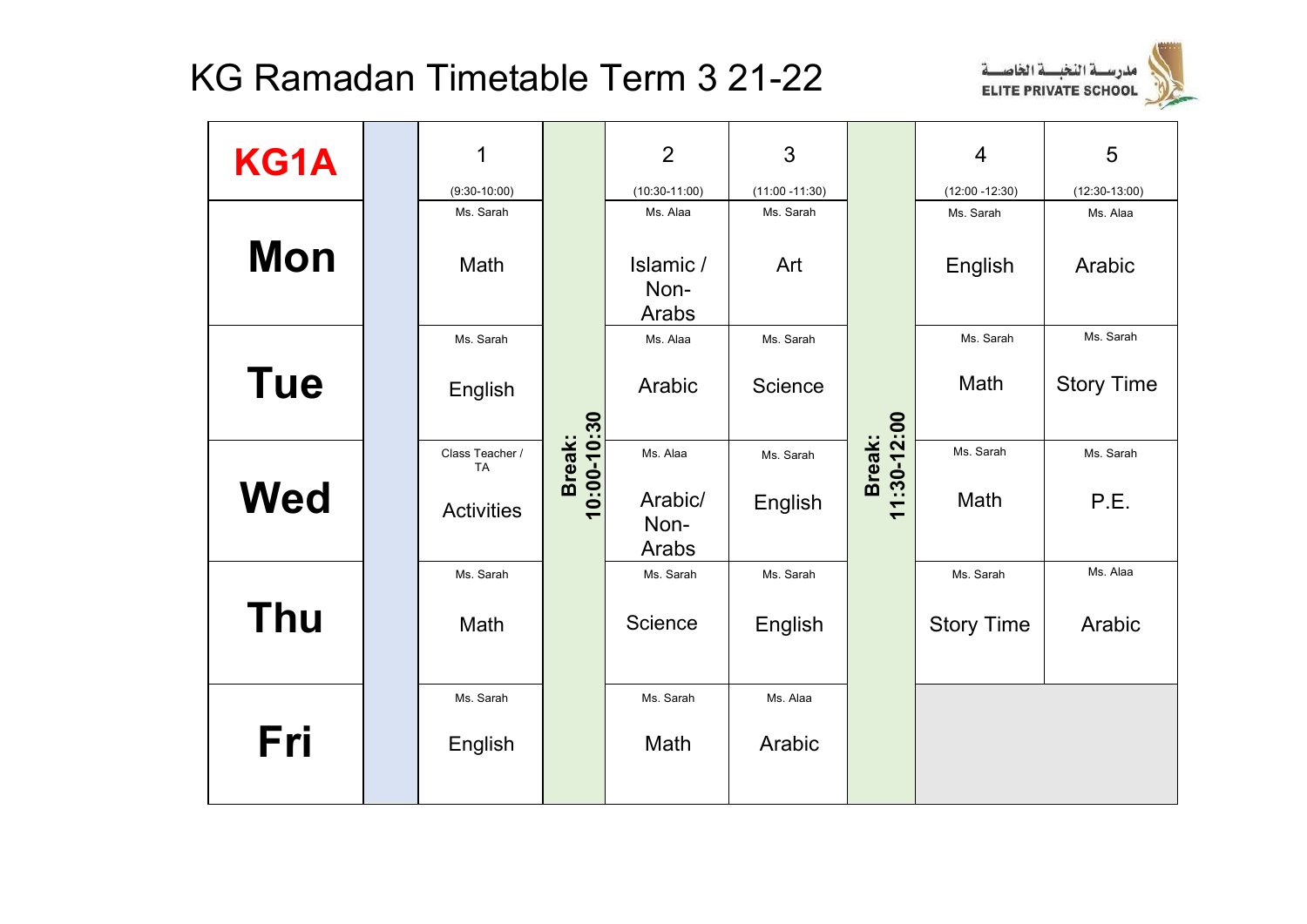

| KG1A       | 1                     |                       | $\overline{2}$             | 3                 |                       | $\overline{4}$    | 5                 |
|------------|-----------------------|-----------------------|----------------------------|-------------------|-----------------------|-------------------|-------------------|
|            | $(9:30-10:00)$        |                       | $(10:30-11:00)$            | $(11:00 - 11:30)$ |                       | $(12:00 - 12:30)$ | $(12:30-13:00)$   |
|            | Ms. Sarah             |                       | Ms. Alaa                   | Ms. Sarah         |                       | Ms. Sarah         | Ms. Alaa          |
| <b>Mon</b> | Math                  |                       | Islamic /<br>Non-<br>Arabs | Art               |                       | English           | Arabic            |
|            | Ms. Sarah             |                       | Ms. Alaa                   | Ms. Sarah         |                       | Ms. Sarah         | Ms. Sarah         |
| <b>Tue</b> | English               |                       | Arabic                     | Science           |                       | Math              | <b>Story Time</b> |
|            | Class Teacher /<br>TA |                       | Ms. Alaa                   | Ms. Sarah         |                       | Ms. Sarah         | Ms. Sarah         |
| <b>Wed</b> | <b>Activities</b>     | 10:00-10:30<br>Break: | Arabic/<br>Non-<br>Arabs   | English           | 11:30-12:00<br>Break: | Math              | P.E.              |
|            | Ms. Sarah             |                       | Ms. Sarah                  | Ms. Sarah         |                       | Ms. Sarah         | Ms. Alaa          |
| <b>Thu</b> | Math                  |                       | Science                    | English           |                       | <b>Story Time</b> | Arabic            |
|            | Ms. Sarah             |                       | Ms. Sarah                  | Ms. Alaa          |                       |                   |                   |
| Fri        | English               |                       | Math                       | Arabic            |                       |                   |                   |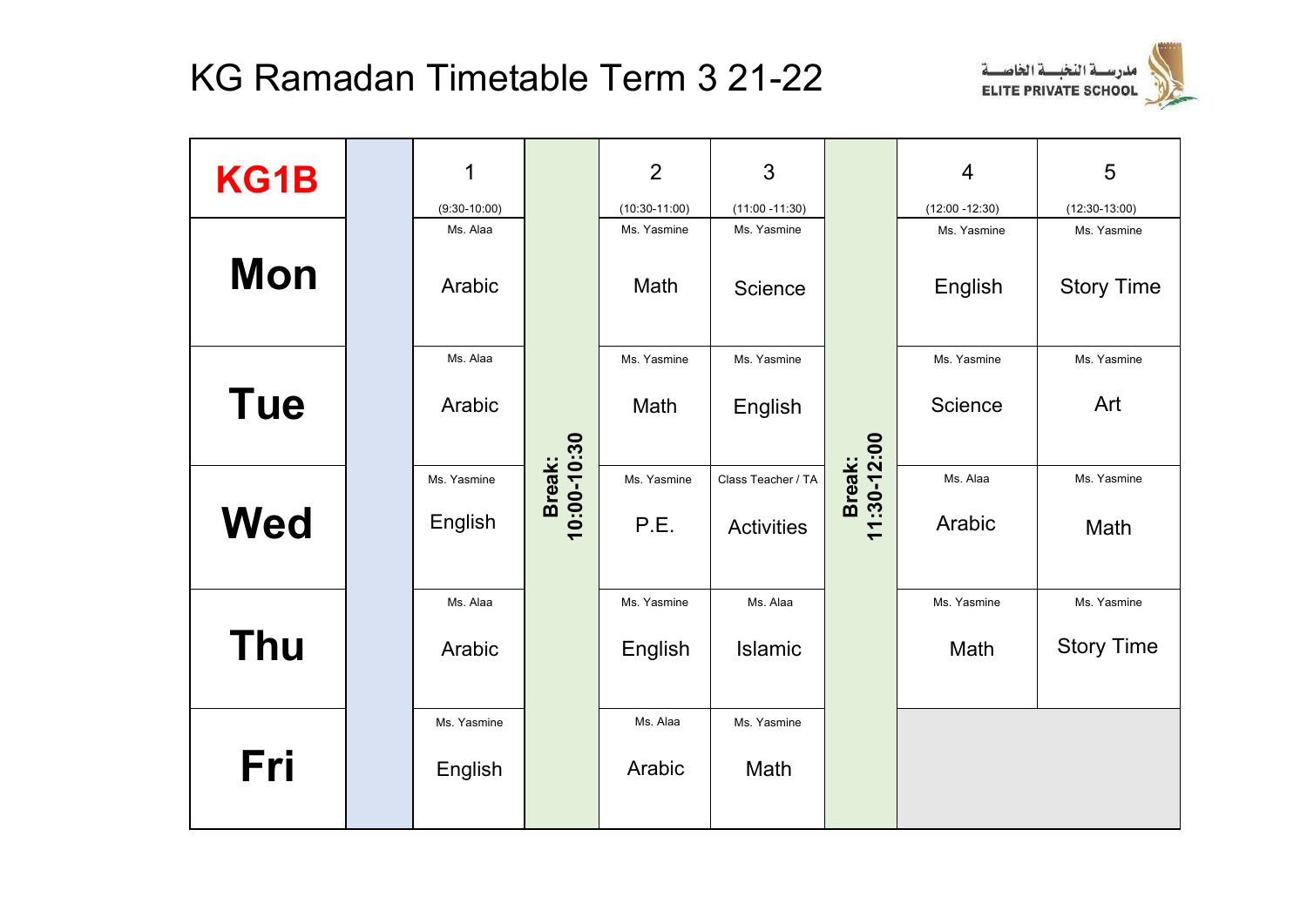

| KG1B       | 1              |                       | $\overline{2}$  | 3                  |             | $\overline{4}$    | 5                 |
|------------|----------------|-----------------------|-----------------|--------------------|-------------|-------------------|-------------------|
|            | $(9:30-10:00)$ |                       | $(10:30-11:00)$ | $(11:00 - 11:30)$  |             | $(12:00 - 12:30)$ | $(12:30-13:00)$   |
|            | Ms. Alaa       |                       | Ms. Yasmine     | Ms. Yasmine        |             | Ms. Yasmine       | Ms. Yasmine       |
| <b>Mon</b> | Arabic         |                       | Math            | Science            |             | English           | <b>Story Time</b> |
|            | Ms. Alaa       |                       | Ms. Yasmine     | Ms. Yasmine        |             | Ms. Yasmine       | Ms. Yasmine       |
| <b>Tue</b> | Arabic         |                       | Math            | English            |             | Science           | Art               |
|            | Ms. Yasmine    |                       | Ms. Yasmine     | Class Teacher / TA | Break:      | Ms. Alaa          | Ms. Yasmine       |
| <b>Wed</b> | English        | 10:00-10:30<br>Break: | P.E.            | <b>Activities</b>  | 11:30-12:00 | Arabic            | Math              |
|            | Ms. Alaa       |                       | Ms. Yasmine     | Ms. Alaa           |             | Ms. Yasmine       | Ms. Yasmine       |
| <b>Thu</b> | Arabic         |                       | English         | <b>Islamic</b>     |             | Math              | <b>Story Time</b> |
|            | Ms. Yasmine    |                       | Ms. Alaa        | Ms. Yasmine        |             |                   |                   |
| Fri        | English        |                       | Arabic          | Math               |             |                   |                   |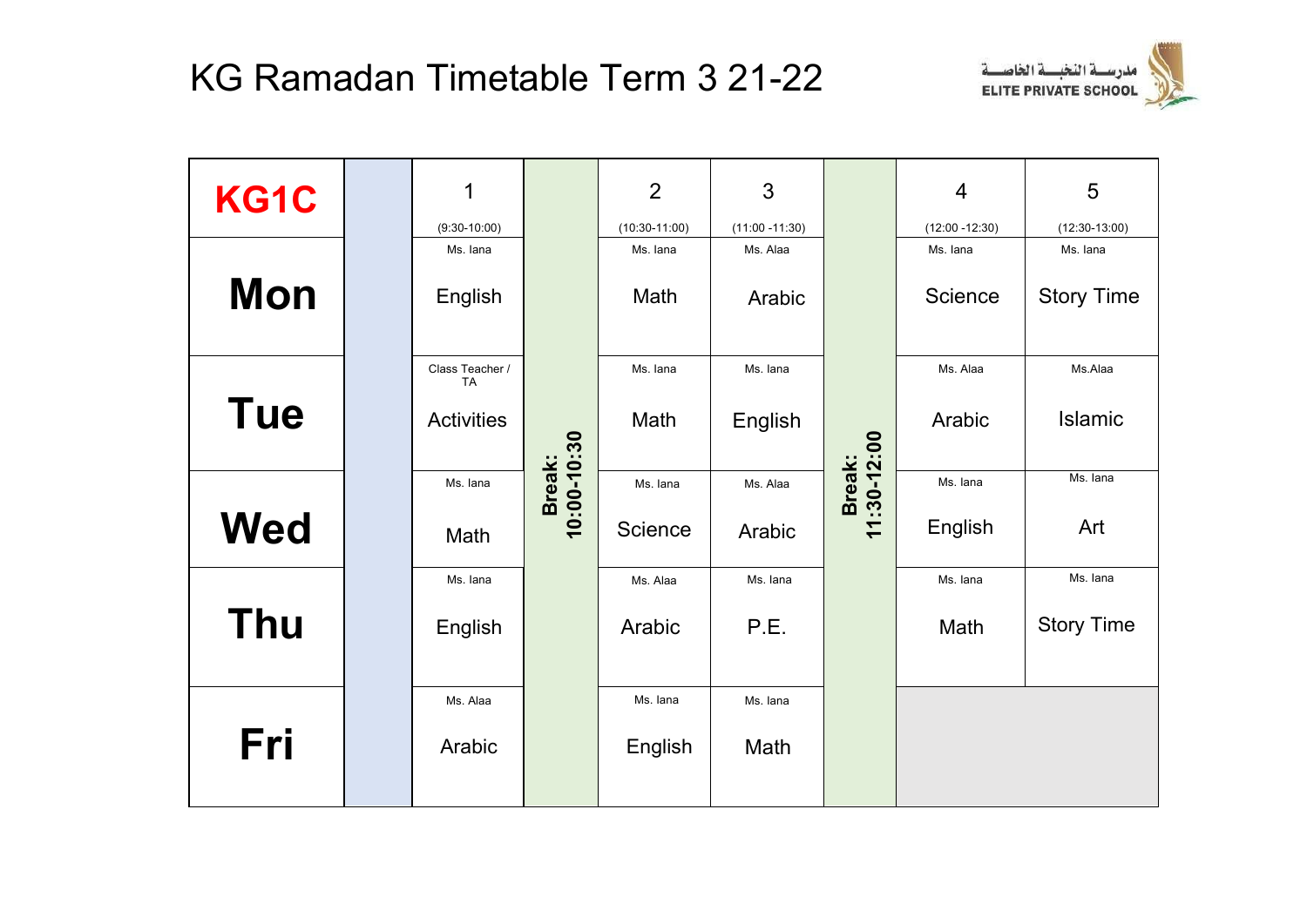

| KG1C       | 1<br>$(9:30-10:00)$          |             | $\overline{2}$<br>$(10:30-11:00)$ | 3<br>$(11:00 - 11:30)$ |                      | $\overline{4}$<br>$(12:00 - 12:30)$ | 5<br>$(12:30-13:00)$ |
|------------|------------------------------|-------------|-----------------------------------|------------------------|----------------------|-------------------------------------|----------------------|
|            | Ms. lana                     |             | Ms. lana                          | Ms. Alaa               |                      | Ms. Iana                            | Ms. lana             |
| <b>Mon</b> | English                      |             | Math                              | Arabic                 |                      | <b>Science</b>                      | <b>Story Time</b>    |
|            | Class Teacher /<br><b>TA</b> |             | Ms. lana                          | Ms. lana               |                      | Ms. Alaa                            | Ms.Alaa              |
| <b>Tue</b> | <b>Activities</b>            | 10:00-10:30 | Math                              | English                | Break:<br> :30-12:00 | Arabic                              | Islamic              |
|            | Ms. Iana                     | Break:      | Ms. lana                          | Ms. Alaa               |                      | Ms. lana                            | Ms. lana             |
| <b>Wed</b> | Math                         |             | Science                           | Arabic                 | $\overline{1}$       | English                             | Art                  |
|            | Ms. lana                     |             | Ms. Alaa                          | Ms. lana               |                      | Ms. Iana                            | Ms. lana             |
| <b>Thu</b> | English                      |             | Arabic                            | P.E.                   |                      | Math                                | <b>Story Time</b>    |
|            | Ms. Alaa                     |             | Ms. Iana                          | Ms. lana               |                      |                                     |                      |
| Fri        | Arabic                       |             | English                           | Math                   |                      |                                     |                      |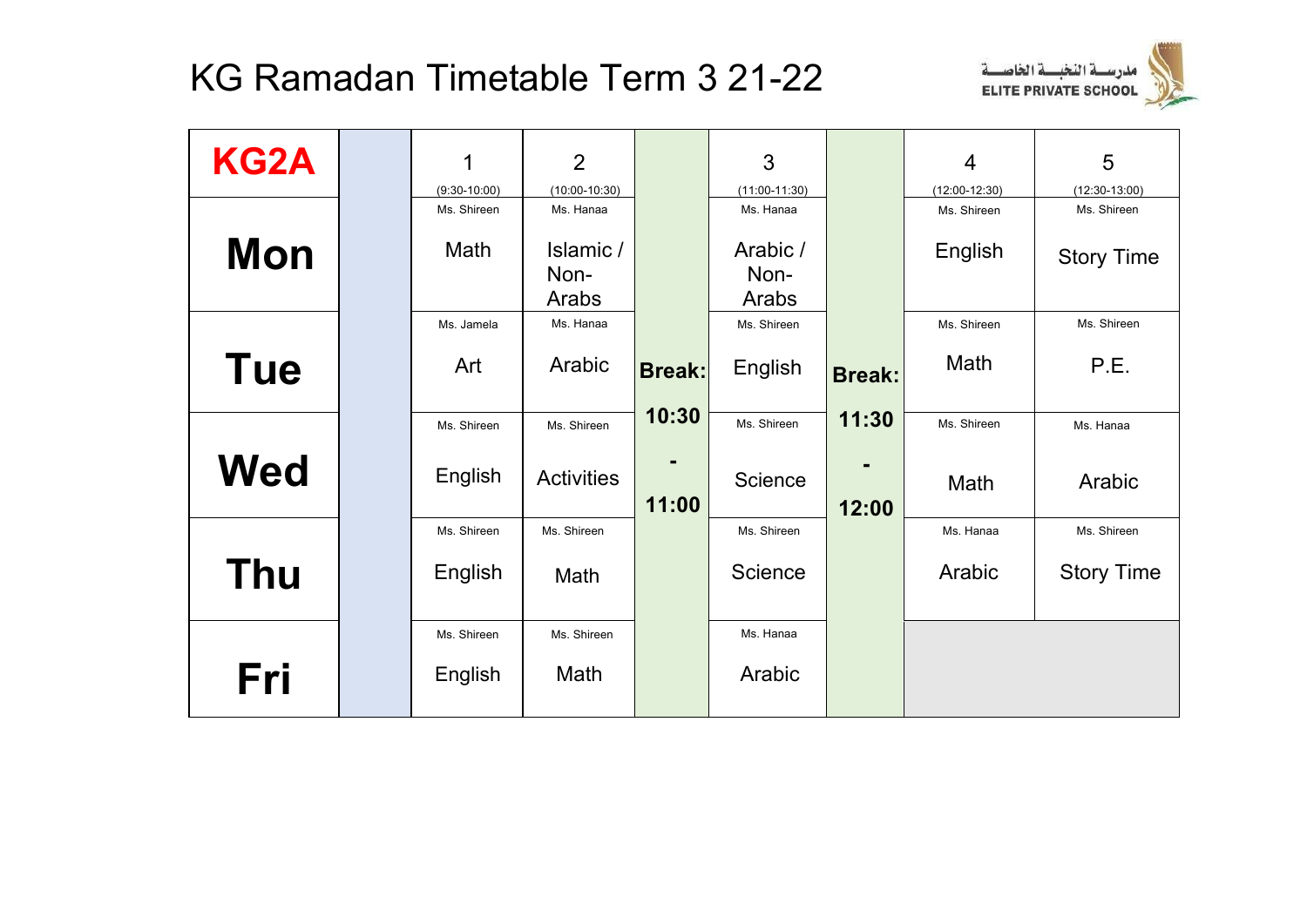

| <b>KG2A</b> | 1                             | $\overline{2}$               |               | 3                            |               | $\overline{4}$                 | 5                              |
|-------------|-------------------------------|------------------------------|---------------|------------------------------|---------------|--------------------------------|--------------------------------|
|             | $(9:30-10:00)$<br>Ms. Shireen | $(10:00-10:30)$<br>Ms. Hanaa |               | $(11:00-11:30)$<br>Ms. Hanaa |               | $(12:00-12:30)$<br>Ms. Shireen | $(12:30-13:00)$<br>Ms. Shireen |
| <b>Mon</b>  | Math                          | Islamic /<br>Non-<br>Arabs   |               | Arabic /<br>Non-<br>Arabs    |               | English                        | <b>Story Time</b>              |
|             | Ms. Jamela                    | Ms. Hanaa                    |               | Ms. Shireen                  |               | Ms. Shireen                    | Ms. Shireen                    |
| <b>Tue</b>  | Art                           | Arabic                       | <b>Break:</b> | English                      | <b>Break:</b> | Math                           | P.E.                           |
|             | Ms. Shireen                   | Ms. Shireen                  | 10:30         | Ms. Shireen                  | 11:30         | Ms. Shireen                    | Ms. Hanaa                      |
| <b>Wed</b>  | English                       | <b>Activities</b>            | 11:00         | Science                      | 12:00         | Math                           | Arabic                         |
|             | Ms. Shireen                   | Ms. Shireen                  |               | Ms. Shireen                  |               | Ms. Hanaa                      | Ms. Shireen                    |
| <b>Thu</b>  | English                       | Math                         |               | <b>Science</b>               |               | Arabic                         | <b>Story Time</b>              |
|             | Ms. Shireen                   | Ms. Shireen                  |               | Ms. Hanaa                    |               |                                |                                |
| Fri         | English                       | Math                         |               | Arabic                       |               |                                |                                |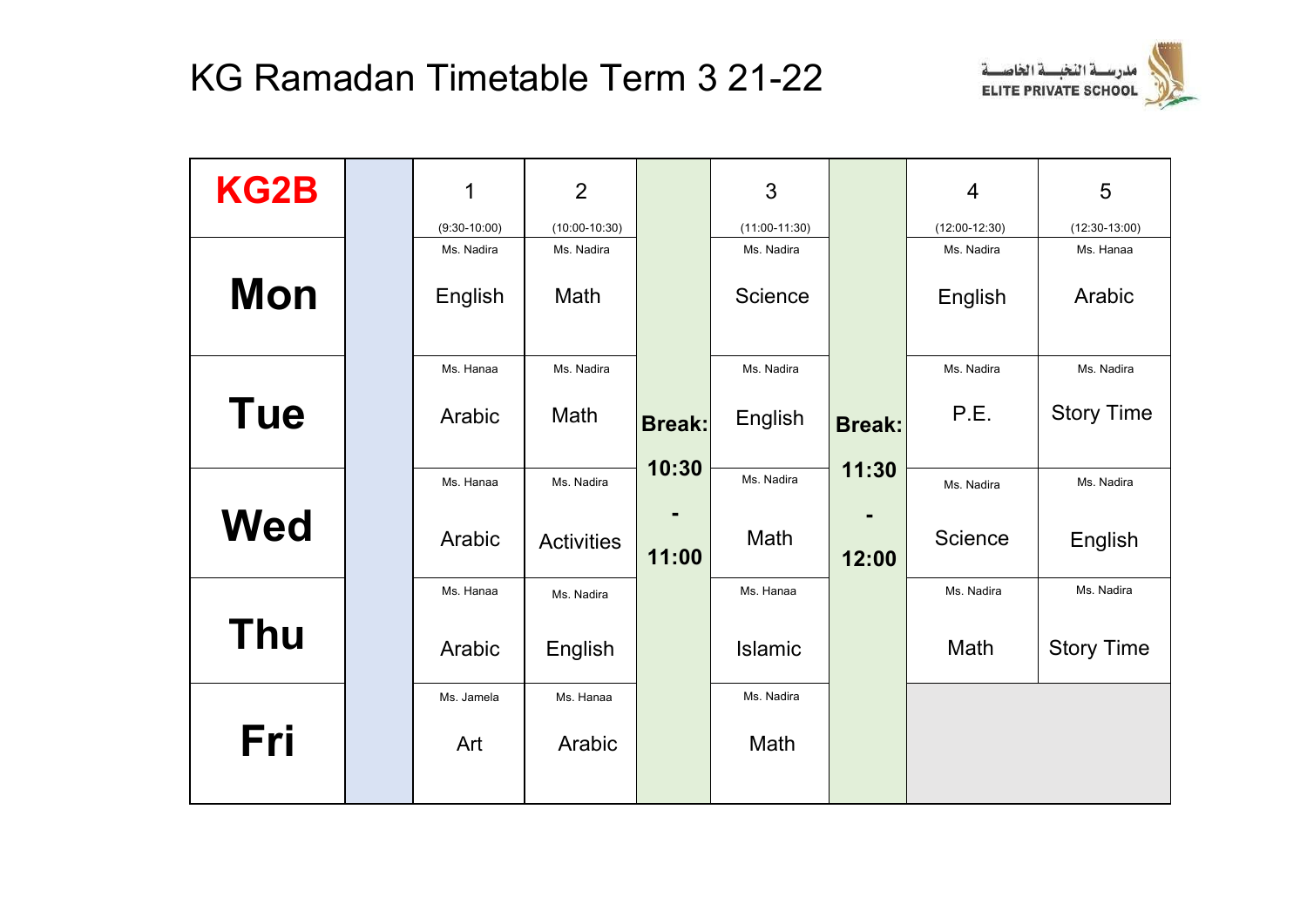

| <b>KG2B</b> | 1              | $\overline{2}$    |               | 3               |               | $\overline{4}$  | 5                 |
|-------------|----------------|-------------------|---------------|-----------------|---------------|-----------------|-------------------|
|             | $(9:30-10:00)$ | $(10:00-10:30)$   |               | $(11:00-11:30)$ |               | $(12:00-12:30)$ | $(12:30-13:00)$   |
|             | Ms. Nadira     | Ms. Nadira        |               | Ms. Nadira      |               | Ms. Nadira      | Ms. Hanaa         |
| <b>Mon</b>  | English        | Math              |               | Science         |               | English         | Arabic            |
|             | Ms. Hanaa      | Ms. Nadira        |               | Ms. Nadira      |               | Ms. Nadira      | Ms. Nadira        |
| <b>Tue</b>  | Arabic         | Math              | <b>Break:</b> | English         | <b>Break:</b> | P.E.            | <b>Story Time</b> |
|             | Ms. Hanaa      | Ms. Nadira        | 10:30         | Ms. Nadira      | 11:30         | Ms. Nadira      | Ms. Nadira        |
| <b>Wed</b>  | Arabic         | <b>Activities</b> | 11:00         | Math            | 12:00         | Science         | English           |
|             | Ms. Hanaa      | Ms. Nadira        |               | Ms. Hanaa       |               | Ms. Nadira      | Ms. Nadira        |
| <b>Thu</b>  | Arabic         | English           |               | Islamic         |               | Math            | <b>Story Time</b> |
|             | Ms. Jamela     | Ms. Hanaa         |               | Ms. Nadira      |               |                 |                   |
| Fri         | Art            | Arabic            |               | Math            |               |                 |                   |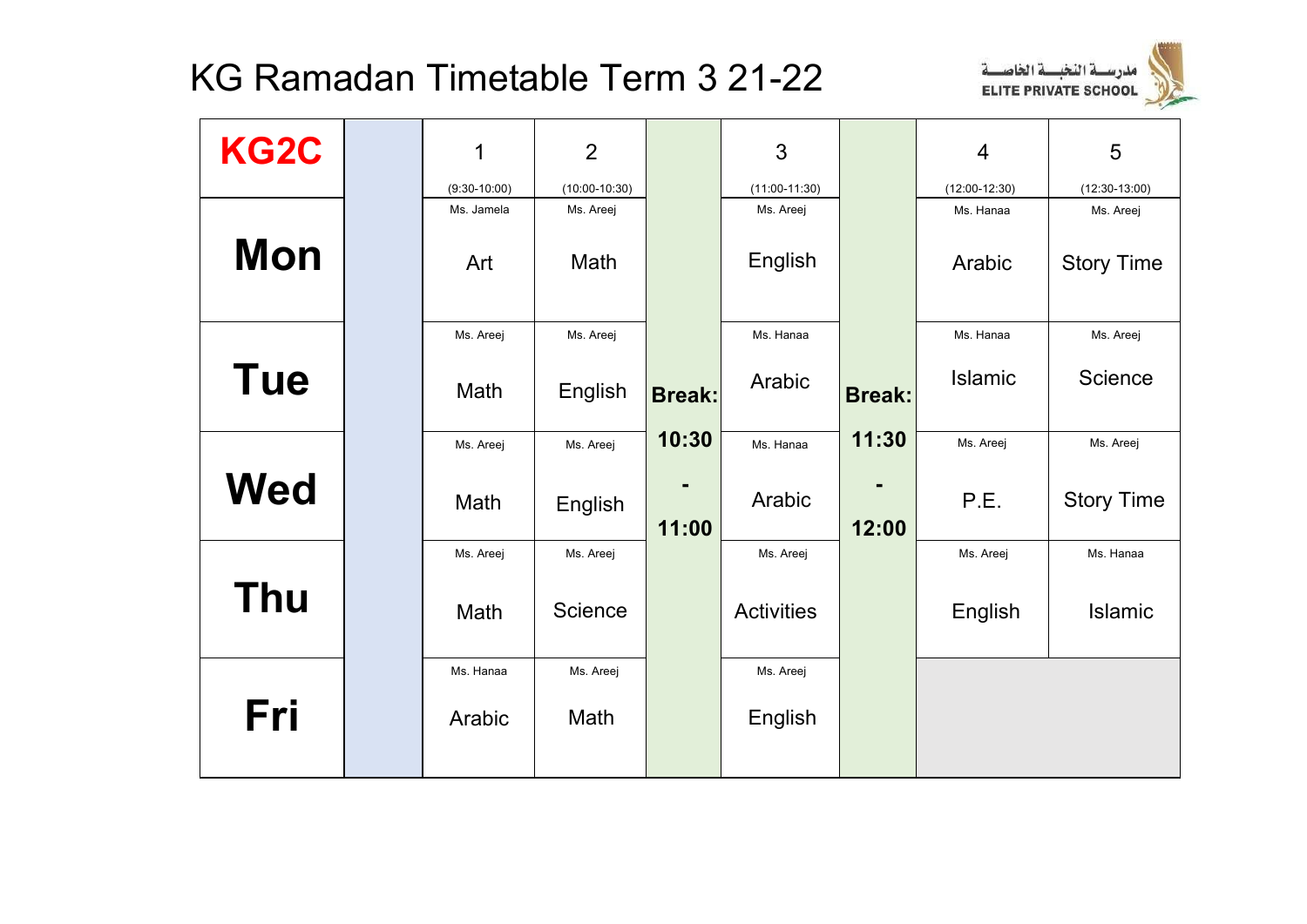

| KG2C       | 1              | $\overline{2}$  |               | 3                 |               | $\overline{4}$  | 5                 |
|------------|----------------|-----------------|---------------|-------------------|---------------|-----------------|-------------------|
|            | $(9:30-10:00)$ | $(10:00-10:30)$ |               | $(11:00-11:30)$   |               | $(12:00-12:30)$ | $(12:30-13:00)$   |
|            | Ms. Jamela     | Ms. Areej       |               | Ms. Areej         |               | Ms. Hanaa       | Ms. Areej         |
| <b>Mon</b> | Art            | Math            |               | English           |               | Arabic          | <b>Story Time</b> |
|            | Ms. Areej      | Ms. Areej       |               | Ms. Hanaa         |               | Ms. Hanaa       | Ms. Areej         |
| <b>Tue</b> | Math           | English         | <b>Break:</b> | Arabic            | <b>Break:</b> | <b>Islamic</b>  | Science           |
|            | Ms. Areej      | Ms. Areej       | 10:30         | Ms. Hanaa         | 11:30         | Ms. Areej       | Ms. Areej         |
| <b>Wed</b> | Math           | English         | 11:00         | Arabic            | 12:00         | P.E.            | <b>Story Time</b> |
|            | Ms. Areej      | Ms. Areej       |               | Ms. Areej         |               | Ms. Areej       | Ms. Hanaa         |
| <b>Thu</b> | Math           | Science         |               | <b>Activities</b> |               | English         | Islamic           |
|            | Ms. Hanaa      | Ms. Areej       |               | Ms. Areej         |               |                 |                   |
| Fri        | Arabic         | Math            |               | English           |               |                 |                   |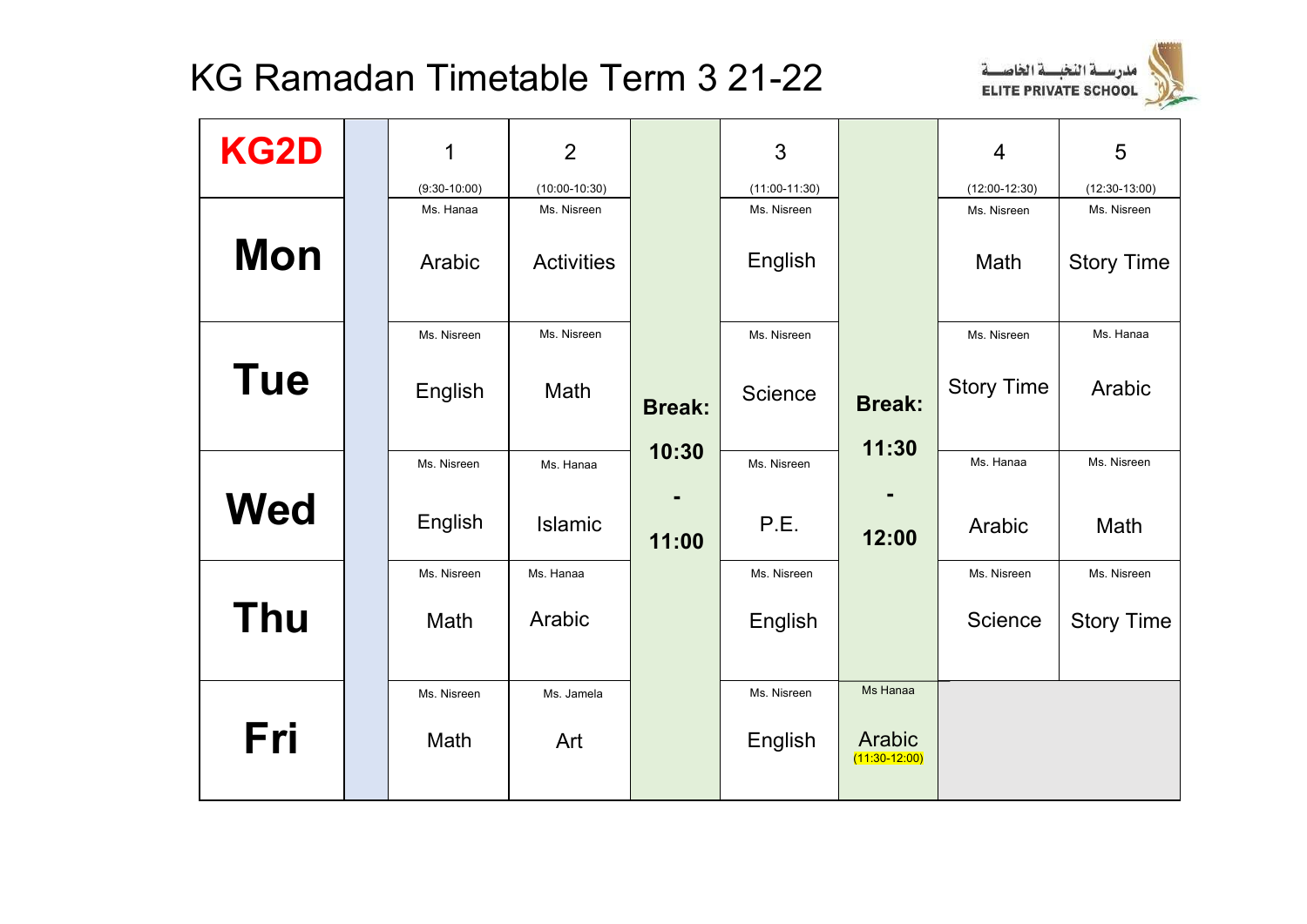

| <b>KG2D</b> | 1                   | $\overline{2}$                   |                        | 3                      |                           | $\overline{4}$      | 5                                |
|-------------|---------------------|----------------------------------|------------------------|------------------------|---------------------------|---------------------|----------------------------------|
|             | $(9:30-10:00)$      | $(10:00-10:30)$                  |                        | $(11:00-11:30)$        |                           | $(12:00-12:30)$     | $(12:30-13:00)$                  |
| <b>Mon</b>  | Ms. Hanaa<br>Arabic | Ms. Nisreen<br><b>Activities</b> |                        | Ms. Nisreen<br>English |                           | Ms. Nisreen<br>Math | Ms. Nisreen<br><b>Story Time</b> |
|             | Ms. Nisreen         | Ms. Nisreen                      |                        | Ms. Nisreen            |                           | Ms. Nisreen         | Ms. Hanaa                        |
| <b>Tue</b>  | English             | Math                             | <b>Break:</b><br>10:30 | Science                | <b>Break:</b><br>11:30    | <b>Story Time</b>   | Arabic                           |
|             | Ms. Nisreen         | Ms. Hanaa                        |                        | Ms. Nisreen            |                           | Ms. Hanaa           | Ms. Nisreen                      |
| <b>Wed</b>  | English             | Islamic                          | 11:00                  | P.E.                   | 12:00                     | Arabic              | Math                             |
|             | Ms. Nisreen         | Ms. Hanaa                        |                        | Ms. Nisreen            |                           | Ms. Nisreen         | Ms. Nisreen                      |
| <b>Thu</b>  | Math                | Arabic                           |                        | English                |                           | Science             | <b>Story Time</b>                |
|             | Ms. Nisreen         | Ms. Jamela                       |                        | Ms. Nisreen            | Ms Hanaa                  |                     |                                  |
| Fri         | Math                | Art                              |                        | English                | Arabic<br>$(11:30-12:00)$ |                     |                                  |